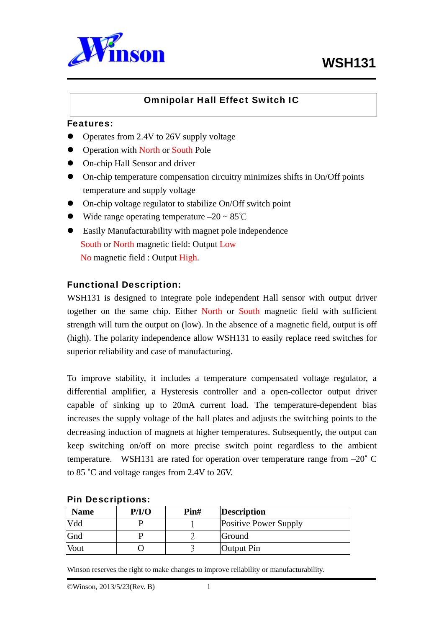

## Omnipolar Hall Effect Switch IC

#### Features:

L

- Operates from 2.4V to 26V supply voltage
- Operation with North or South Pole
- On-chip Hall Sensor and driver
- $\bullet$  On-chip temperature compensation circuitry minimizes shifts in On/Off points temperature and supply voltage
- On-chip voltage regulator to stabilize On/Off switch point
- Wide range operating temperature  $-20 \sim 85^{\circ}$ C
- Easily Manufacturability with magnet pole independence South or North magnetic field: Output Low No magnetic field : Output High.

#### Functional Description:

WSH131 is designed to integrate pole independent Hall sensor with output driver together on the same chip. Either North or South magnetic field with sufficient strength will turn the output on (low). In the absence of a magnetic field, output is off (high). The polarity independence allow WSH131 to easily replace reed switches for superior reliability and case of manufacturing.

To improve stability, it includes a temperature compensated voltage regulator, a differential amplifier, a Hysteresis controller and a open-collector output driver capable of sinking up to 20mA current load. The temperature-dependent bias increases the supply voltage of the hall plates and adjusts the switching points to the decreasing induction of magnets at higher temperatures. Subsequently, the output can keep switching on/off on more precise switch point regardless to the ambient temperature. WSH131 are rated for operation over temperature range from –20**˚** C to 85 **˚**C and voltage ranges from 2.4V to 26V.

| <b>Name</b> | P/I/O | Pin# | <b>Description</b>           |
|-------------|-------|------|------------------------------|
| Vdd         |       |      | <b>Positive Power Supply</b> |
| Gnd         |       |      | Ground                       |
| Vout        |       |      | Output Pin                   |

#### Pin Descriptions: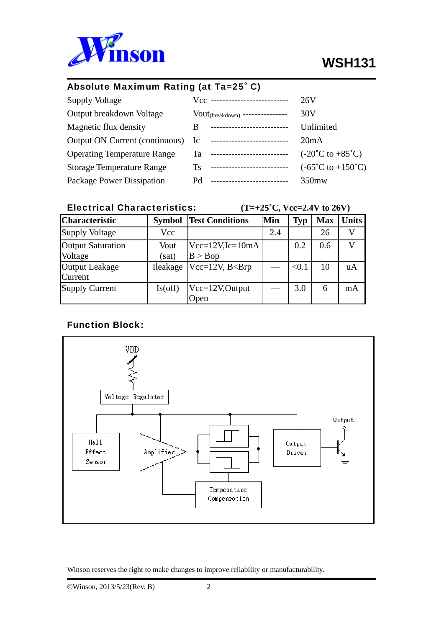

L

## Absolute Maximum Rating (at Ta=25˚ C)

| <b>Supply Voltage</b>              |     | Vcc ---------------------------      | 26V                                        |
|------------------------------------|-----|--------------------------------------|--------------------------------------------|
| Output breakdown Voltage           |     | $Vout_{(breakdown)}$ --------------- | 30V                                        |
| Magnetic flux density              | B   | ---------------------------          | Unlimited                                  |
| Output ON Current (continuous) Ic  |     | ---------------------------          | 20mA                                       |
| <b>Operating Temperature Range</b> | Ta  | --------------------------           | $(-20^{\circ}C \text{ to } +85^{\circ}C)$  |
| <b>Storage Temperature Range</b>   | Ts. | ---------------------------          | $(-65^{\circ}C \text{ to } +150^{\circ}C)$ |
| Package Power Dissipation          | Pd  | --------------------------           | 350mw                                      |

## Electrical Characteristics:  $(T=+25^{\circ}C, Vcc=2.4V \text{ to } 26V)$

| <b>Characteristic</b>               | <b>Symbol</b> | <b>Test Conditions</b>           | Min | <b>Typ</b> | <b>Max</b> | <b>Units</b>   |
|-------------------------------------|---------------|----------------------------------|-----|------------|------------|----------------|
| <b>Supply Voltage</b>               | Vcc           |                                  | 2.4 |            | 26         |                |
| <b>Output Saturation</b><br>Voltage | Vout<br>(sat) | $Vec=12V$ , $Ic=10mA$<br>B > Bop |     | 0.2        | 0.6        |                |
| <b>Output Leakage</b><br>Current    | Ileakage      | $Vec=12V$ , $B<$ Brp             |     | < 0.1      | 10         | $\mathbf{u}$ A |
| <b>Supply Current</b>               | Is(off)       | Vcc=12V,Output<br>Open           |     | 3.0        | 6          | mA             |

# Function Block:

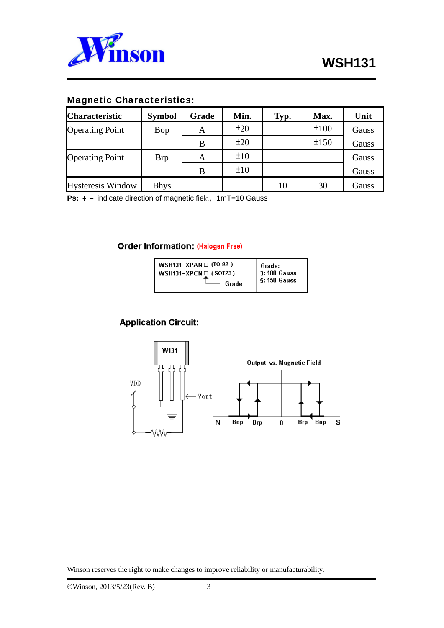

L

#### Magnetic Characteristics:

| <b>Characteristic</b>    | <b>Symbol</b> | Grade | Min. | Typ. | Max. | Unit  |
|--------------------------|---------------|-------|------|------|------|-------|
| <b>Operating Point</b>   | Bop           | A     | ±20  |      | ±100 | Gauss |
|                          |               | B     | ±20  |      | ±150 | Gauss |
| <b>Operating Point</b>   | <b>Brp</b>    | A     | ±10  |      |      | Gauss |
|                          |               | В     | ±10  |      |      | Gauss |
| <b>Hysteresis Window</b> | <b>Bhys</b>   |       |      | 10   | 30   | Gauss |

**Ps:**  $+ -$  indicate direction of magnetic field, 1mT=10 Gauss

#### **Order Information: (Halogen Free)**

| WSH131-XPAN $\Box$ (TO-92) | Grade:               |
|----------------------------|----------------------|
| WSH131-XPCN $\Box$ (SOT23) | $\vert$ 3: 100 Gauss |
| Grade                      | 5: 150 Gauss         |

## **Application Circuit:**